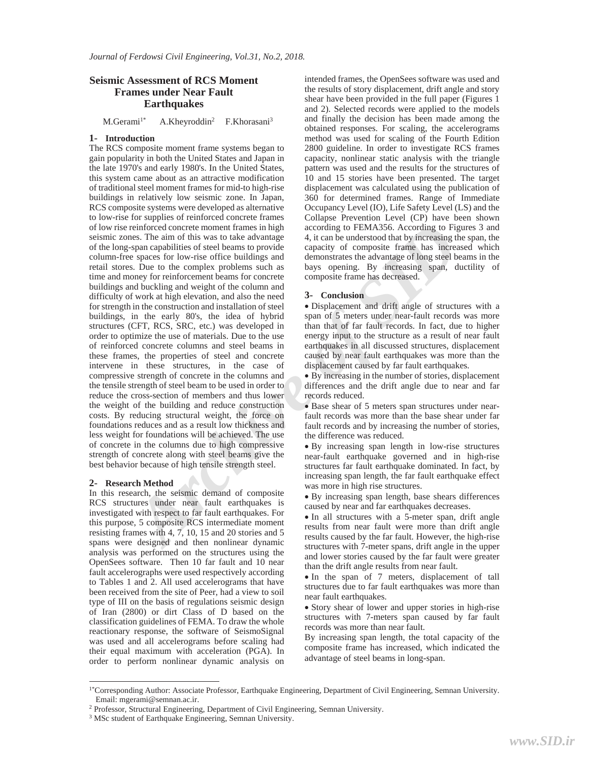# **Seismic Assessment of RCS Moment Frames under Near Fault Earthquakes**

M.Gerami<sup>1\*</sup> A.Kheyroddin<sup>2</sup> F.Khorasani<sup>3</sup>

### **1- Introduction**

reinforced concert emoment frames in high according to FEMA2556. According to Figure 2013 and expect of the signed of the signed in the signed and the signed and the signed and the signed and the signed between the signed The RCS composite moment frame systems began to gain popularity in both the United States and Japan in the late 1970's and early 1980's. In the United States, this system came about as an attractive modification of traditional steel moment frames for mid-to high-rise buildings in relatively low seismic zone. In Japan, RCS composite systems were developed as alternative to low-rise for supplies of reinforced concrete frames of low rise reinforced concrete moment frames in high seismic zones. The aim of this was to take advantage of the long-span capabilities of steel beams to provide column-free spaces for low-rise office buildings and retail stores. Due to the complex problems such as time and money for reinforcement beams for concrete buildings and buckling and weight of the column and difficulty of work at high elevation, and also the need for strength in the construction and installation of steel buildings, in the early 80's, the idea of hybrid structures (CFT, RCS, SRC, etc.) was developed in order to optimize the use of materials. Due to the use of reinforced concrete columns and steel beams in these frames, the properties of steel and concrete intervene in these structures, in the case of compressive strength of concrete in the columns and the tensile strength of steel beam to be used in order to reduce the cross-section of members and thus lower the weight of the building and reduce construction costs. By reducing structural weight, the force on foundations reduces and as a result low thickness and less weight for foundations will be achieved. The use of concrete in the columns due to high compressive strength of concrete along with steel beams give the best behavior because of high tensile strength steel.

#### **2- Research Method**

 $\overline{a}$ 

In this research, the seismic demand of composite RCS structures under near fault earthquakes is investigated with respect to far fault earthquakes. For this purpose, 5 composite RCS intermediate moment resisting frames with 4, 7, 10, 15 and 20 stories and 5 spans were designed and then nonlinear dynamic analysis was performed on the structures using the OpenSees software. Then 10 far fault and 10 near fault accelerographs were used respectively according to Tables 1 and 2. All used accelerograms that have been received from the site of Peer, had a view to soil type of III on the basis of regulations seismic design of Iran (2800) or dirt Class of D based on the classification guidelines of FEMA. To draw the whole reactionary response, the software of SeismoSignal was used and all accelerograms before scaling had their equal maximum with acceleration (PGA). In order to perform nonlinear dynamic analysis on

intended frames, the OpenSees software was used and the results of story displacement, drift angle and story shear have been provided in the full paper (Figures 1 and 2). Selected records were applied to the models and finally the decision has been made among the obtained responses. For scaling, the accelerograms method was used for scaling of the Fourth Edition 2800 guideline. In order to investigate RCS frames capacity, nonlinear static analysis with the triangle pattern was used and the results for the structures of 10 and 15 stories have been presented. The target displacement was calculated using the publication of 360 for determined frames. Range of Immediate Occupancy Level (IO), Life Safety Level (LS) and the Collapse Prevention Level (CP) have been shown according to FEMA356. According to Figures 3 and 4, it can be understood that by increasing the span, the capacity of composite frame has increased which demonstrates the advantage of long steel beams in the bays opening. By increasing span, ductility of composite frame has decreased.

### **3- Conclusion**

x Displacement and drift angle of structures with a span of 5 meters under near-fault records was more than that of far fault records. In fact, due to higher energy input to the structure as a result of near fault earthquakes in all discussed structures, displacement caused by near fault earthquakes was more than the displacement caused by far fault earthquakes.

• By increasing in the number of stories, displacement differences and the drift angle due to near and far records reduced.

x Base shear of 5 meters span structures under nearfault records was more than the base shear under far fault records and by increasing the number of stories, the difference was reduced.

• By increasing span length in low-rise structures near-fault earthquake governed and in high-rise structures far fault earthquake dominated. In fact, by increasing span length, the far fault earthquake effect was more in high rise structures.

x By increasing span length, base shears differences caused by near and far earthquakes decreases.

• In all structures with a 5-meter span, drift angle results from near fault were more than drift angle results caused by the far fault. However, the high-rise structures with 7-meter spans, drift angle in the upper and lower stories caused by the far fault were greater than the drift angle results from near fault.

• In the span of 7 meters, displacement of tall structures due to far fault earthquakes was more than near fault earthquakes.

• Story shear of lower and upper stories in high-rise structures with 7-meters span caused by far fault records was more than near fault.

By increasing span length, the total capacity of the composite frame has increased, which indicated the advantage of steel beams in long-span.

<sup>1\*</sup>Corresponding Author: Associate Professor, Earthquake Engineering, Department of Civil Engineering, Semnan University. Email: mgerami@semnan.ac.ir.

<sup>2</sup> Professor, Structural Engineering, Department of Civil Engineering, Semnan University.

<sup>3</sup> MSc student of Earthquake Engineering, Semnan University.